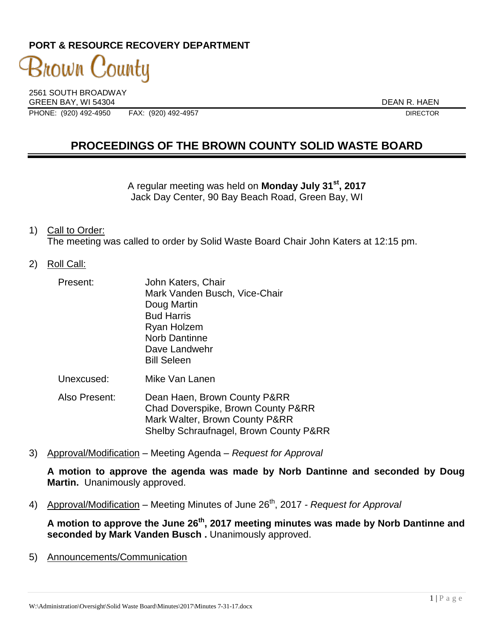## **PORT & RESOURCE RECOVERY DEPARTMENT**

3nown County

2561 SOUTH BROADWAY GREEN BAY, WI 54304 DEAN R. HAEN PHONE: (920) 492-4950 FAX: (920) 492-4957 DIRECTOR

# **PROCEEDINGS OF THE BROWN COUNTY SOLID WASTE BOARD**

A regular meeting was held on **Monday July 31st , 2017** Jack Day Center, 90 Bay Beach Road, Green Bay, WI

#### 1) Call to Order:

The meeting was called to order by Solid Waste Board Chair John Katers at 12:15 pm.

#### 2) Roll Call:

| Present:   | John Katers, Chair<br>Mark Vanden Busch, Vice-Chair<br>Doug Martin<br><b>Bud Harris</b><br>Ryan Holzem<br><b>Norb Dantinne</b><br>Dave Landwehr |
|------------|-------------------------------------------------------------------------------------------------------------------------------------------------|
| Unexcused: | <b>Bill Seleen</b><br>Mike Van Lanen                                                                                                            |

Also Present: Dean Haen, Brown County P&RR Chad Doverspike, Brown County P&RR Mark Walter, Brown County P&RR Shelby Schraufnagel, Brown County P&RR

3) Approval/Modification – Meeting Agenda – *Request for Approval*

**A motion to approve the agenda was made by Norb Dantinne and seconded by Doug Martin.** Unanimously approved.

4) Approval/Modification – Meeting Minutes of June 26<sup>th</sup>, 2017 *- Request for Approval* 

**A motion to approve the June 26th , 2017 meeting minutes was made by Norb Dantinne and seconded by Mark Vanden Busch .** Unanimously approved.

5) Announcements/Communication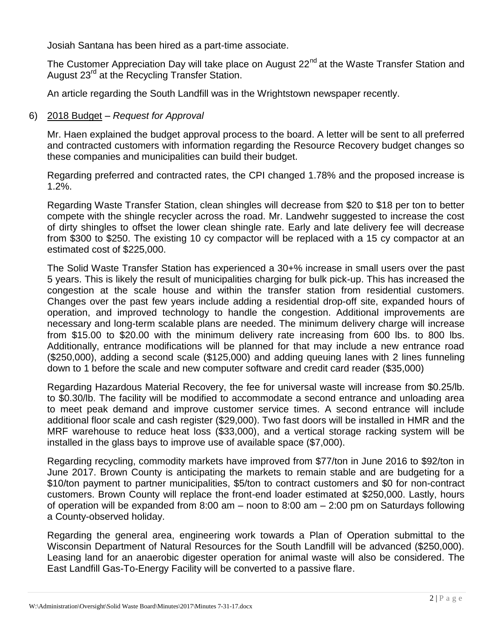Josiah Santana has been hired as a part-time associate.

The Customer Appreciation Day will take place on August 22<sup>nd</sup> at the Waste Transfer Station and August 23rd at the Recycling Transfer Station.

An article regarding the South Landfill was in the Wrightstown newspaper recently.

### 6) 2018 Budget – *Request for Approval*

Mr. Haen explained the budget approval process to the board. A letter will be sent to all preferred and contracted customers with information regarding the Resource Recovery budget changes so these companies and municipalities can build their budget.

Regarding preferred and contracted rates, the CPI changed 1.78% and the proposed increase is 1.2%.

Regarding Waste Transfer Station, clean shingles will decrease from \$20 to \$18 per ton to better compete with the shingle recycler across the road. Mr. Landwehr suggested to increase the cost of dirty shingles to offset the lower clean shingle rate. Early and late delivery fee will decrease from \$300 to \$250. The existing 10 cy compactor will be replaced with a 15 cy compactor at an estimated cost of \$225,000.

The Solid Waste Transfer Station has experienced a 30+% increase in small users over the past 5 years. This is likely the result of municipalities charging for bulk pick-up. This has increased the congestion at the scale house and within the transfer station from residential customers. Changes over the past few years include adding a residential drop-off site, expanded hours of operation, and improved technology to handle the congestion. Additional improvements are necessary and long-term scalable plans are needed. The minimum delivery charge will increase from \$15.00 to \$20.00 with the minimum delivery rate increasing from 600 lbs. to 800 lbs. Additionally, entrance modifications will be planned for that may include a new entrance road (\$250,000), adding a second scale (\$125,000) and adding queuing lanes with 2 lines funneling down to 1 before the scale and new computer software and credit card reader (\$35,000)

Regarding Hazardous Material Recovery, the fee for universal waste will increase from \$0.25/lb. to \$0.30/lb. The facility will be modified to accommodate a second entrance and unloading area to meet peak demand and improve customer service times. A second entrance will include additional floor scale and cash register (\$29,000). Two fast doors will be installed in HMR and the MRF warehouse to reduce heat loss (\$33,000), and a vertical storage racking system will be installed in the glass bays to improve use of available space (\$7,000).

Regarding recycling, commodity markets have improved from \$77/ton in June 2016 to \$92/ton in June 2017. Brown County is anticipating the markets to remain stable and are budgeting for a \$10/ton payment to partner municipalities, \$5/ton to contract customers and \$0 for non-contract customers. Brown County will replace the front-end loader estimated at \$250,000. Lastly, hours of operation will be expanded from 8:00 am – noon to 8:00 am – 2:00 pm on Saturdays following a County-observed holiday.

Regarding the general area, engineering work towards a Plan of Operation submittal to the Wisconsin Department of Natural Resources for the South Landfill will be advanced (\$250,000). Leasing land for an anaerobic digester operation for animal waste will also be considered. The East Landfill Gas-To-Energy Facility will be converted to a passive flare.